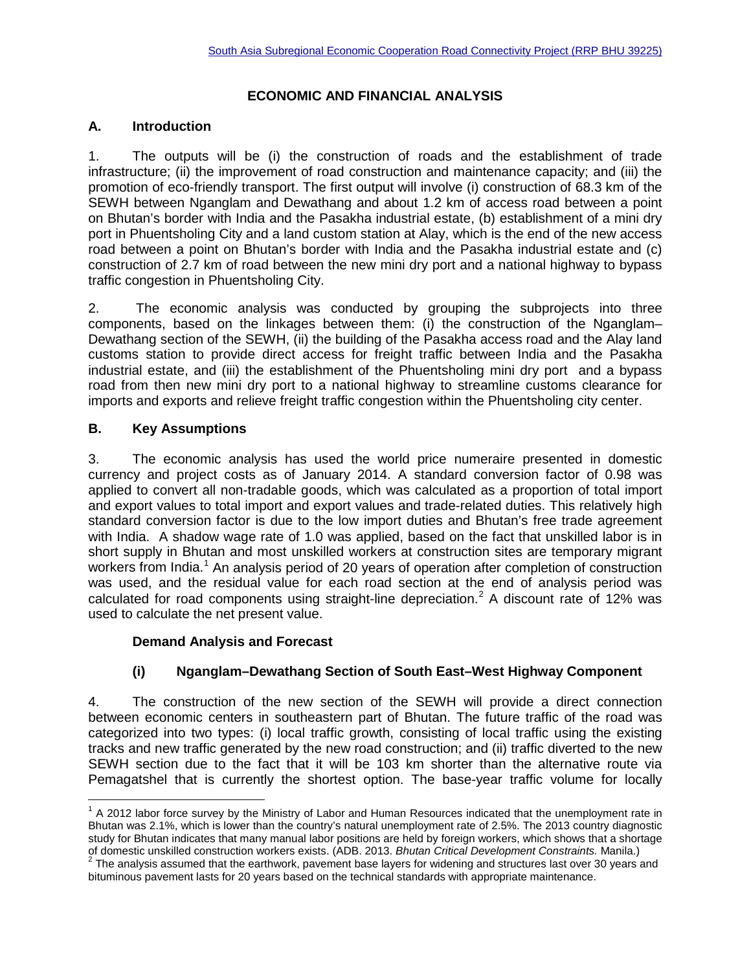# **ECONOMIC AND FINANCIAL ANALYSIS**

# **A. Introduction**

1. The outputs will be (i) the construction of roads and the establishment of trade infrastructure; (ii) the improvement of road construction and maintenance capacity; and (iii) the promotion of eco-friendly transport. The first output will involve (i) construction of 68.3 km of the SEWH between Nganglam and Dewathang and about 1.2 km of access road between a point on Bhutan's border with India and the Pasakha industrial estate, (b) establishment of a mini dry port in Phuentsholing City and a land custom station at Alay, which is the end of the new access road between a point on Bhutan's border with India and the Pasakha industrial estate and (c) construction of 2.7 km of road between the new mini dry port and a national highway to bypass traffic congestion in Phuentsholing City.

2. The economic analysis was conducted by grouping the subprojects into three components, based on the linkages between them: (i) the construction of the Nganglam– Dewathang section of the SEWH, (ii) the building of the Pasakha access road and the Alay land customs station to provide direct access for freight traffic between India and the Pasakha industrial estate, and (iii) the establishment of the Phuentsholing mini dry port and a bypass road from then new mini dry port to a national highway to streamline customs clearance for imports and exports and relieve freight traffic congestion within the Phuentsholing city center.

# **B. Key Assumptions**

3. The economic analysis has used the world price numeraire presented in domestic currency and project costs as of January 2014. A standard conversion factor of 0.98 was applied to convert all non-tradable goods, which was calculated as a proportion of total import and export values to total import and export values and trade-related duties. This relatively high standard conversion factor is due to the low import duties and Bhutan's free trade agreement with India. A shadow wage rate of 1.0 was applied, based on the fact that unskilled labor is in short supply in Bhutan and most unskilled workers at construction sites are temporary migrant workers from India.<sup>[1](#page-0-0)</sup> An analysis period of 20 years of operation after completion of construction was used, and the residual value for each road section at the end of analysis period was calculated for road components using straight-line depreciation.<sup>[2](#page-0-1)</sup> A discount rate of 12% was used to calculate the net present value.

#### **Demand Analysis and Forecast**

# **(i) Nganglam–Dewathang Section of South East–West Highway Component**

4. The construction of the new section of the SEWH will provide a direct connection between economic centers in southeastern part of Bhutan. The future traffic of the road was categorized into two types: (i) local traffic growth, consisting of local traffic using the existing tracks and new traffic generated by the new road construction; and (ii) traffic diverted to the new SEWH section due to the fact that it will be 103 km shorter than the alternative route via Pemagatshel that is currently the shortest option. The base-year traffic volume for locally

<span id="page-0-0"></span> $<sup>1</sup>$  A 2012 labor force survey by the Ministry of Labor and Human Resources indicated that the unemployment rate in</sup> Bhutan was 2.1%, which is lower than the country's natural unemployment rate of 2.5%. The 2013 country diagnostic study for Bhutan indicates that many manual labor positions are held by foreign workers, which shows that a shortage of domestic unskilled construction workers exists. (ADB. 2013. Bhutan Critical Development Constraints. Manila.)<br><sup>2</sup> The analysis assumed that the earthwork, pavement base layers for widening and structures last over 30 ye l

<span id="page-0-1"></span>bituminous pavement lasts for 20 years based on the technical standards with appropriate maintenance.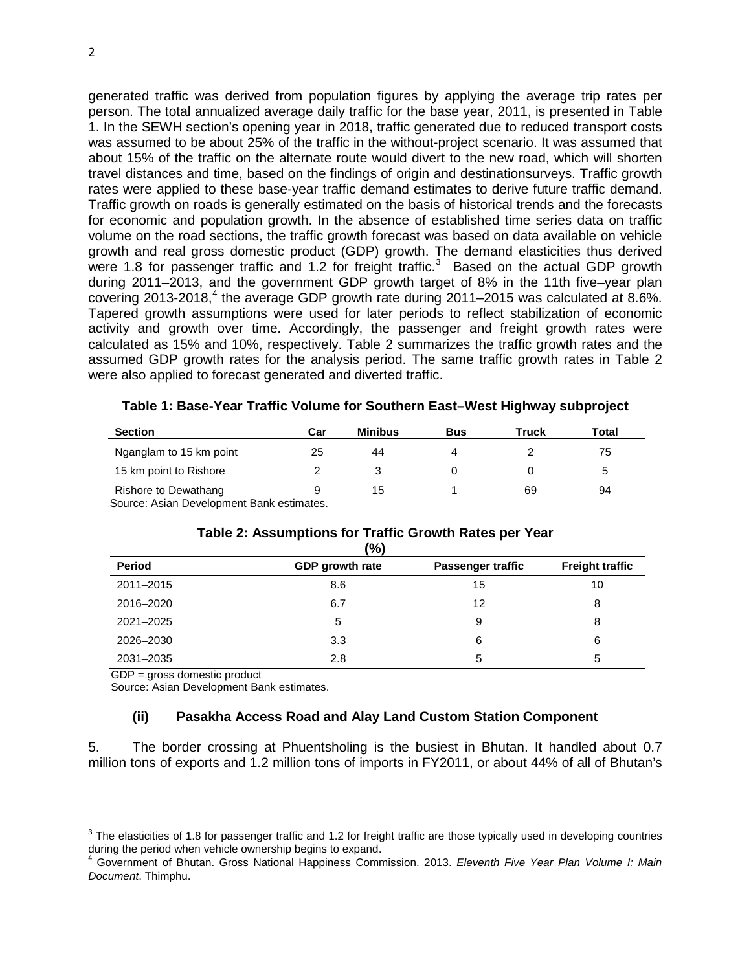generated traffic was derived from population figures by applying the average trip rates per person. The total annualized average daily traffic for the base year, 2011, is presented in Table 1. In the SEWH section's opening year in 2018, traffic generated due to reduced transport costs was assumed to be about 25% of the traffic in the without-project scenario. It was assumed that about 15% of the traffic on the alternate route would divert to the new road, which will shorten travel distances and time, based on the findings of origin and destinationsurveys. Traffic growth rates were applied to these base-year traffic demand estimates to derive future traffic demand. Traffic growth on roads is generally estimated on the basis of historical trends and the forecasts for economic and population growth. In the absence of established time series data on traffic volume on the road sections, the traffic growth forecast was based on data available on vehicle growth and real gross domestic product (GDP) growth. The demand elasticities thus derived were 1.8 for passenger traffic and 1.2 for freight traffic.<sup>[3](#page-1-0)</sup> Based on the actual GDP growth during 2011–2013, and the government GDP growth target of 8% in the 11th five–year plan covering 2013-2018, [4](#page-1-1) the average GDP growth rate during 2011–2015 was calculated at 8.6%. Tapered growth assumptions were used for later periods to reflect stabilization of economic activity and growth over time. Accordingly, the passenger and freight growth rates were calculated as 15% and 10%, respectively. Table 2 summarizes the traffic growth rates and the assumed GDP growth rates for the analysis period. The same traffic growth rates in Table 2 were also applied to forecast generated and diverted traffic.

| <b>Section</b>          | Car | <b>Minibus</b> | <b>Bus</b> | Truck | Total |
|-------------------------|-----|----------------|------------|-------|-------|
| Nganglam to 15 km point | 25  | 44             | Δ          |       | 75    |
| 15 km point to Rishore  |     |                |            |       |       |
| Rishore to Dewathang    |     | 15             |            | 69    | 94    |

|  | Table 1: Base-Year Traffic Volume for Southern East-West Highway subproject |  |  |  |
|--|-----------------------------------------------------------------------------|--|--|--|
|--|-----------------------------------------------------------------------------|--|--|--|

Source: Asian Development Bank estimates.

#### **Table 2: Assumptions for Traffic Growth Rates per Year (%)**

|               | $\overline{\phantom{a}}$ |                          |                        |
|---------------|--------------------------|--------------------------|------------------------|
| <b>Period</b> | GDP growth rate          | <b>Passenger traffic</b> | <b>Freight traffic</b> |
| 2011-2015     | 8.6                      | 15                       | 10                     |
| 2016-2020     | 6.7                      | 12                       | 8                      |
| 2021-2025     | 5                        | 9                        | 8                      |
| 2026-2030     | 3.3                      | 6                        | 6                      |
| 2031-2035     | 2.8                      | 5                        | 5                      |

GDP = gross domestic product

 $\overline{\phantom{a}}$ 

Source: Asian Development Bank estimates.

#### **(ii) Pasakha Access Road and Alay Land Custom Station Component**

5. The border crossing at Phuentsholing is the busiest in Bhutan. It handled about 0.7 million tons of exports and 1.2 million tons of imports in FY2011, or about 44% of all of Bhutan's

<span id="page-1-0"></span> $3$  The elasticities of 1.8 for passenger traffic and 1.2 for freight traffic are those typically used in developing countries during the period when vehicle ownership begins to expand.

<span id="page-1-1"></span><sup>4</sup> Government of Bhutan. Gross National Happiness Commission. 2013. *Eleventh Five Year Plan Volume I: Main Document*. Thimphu.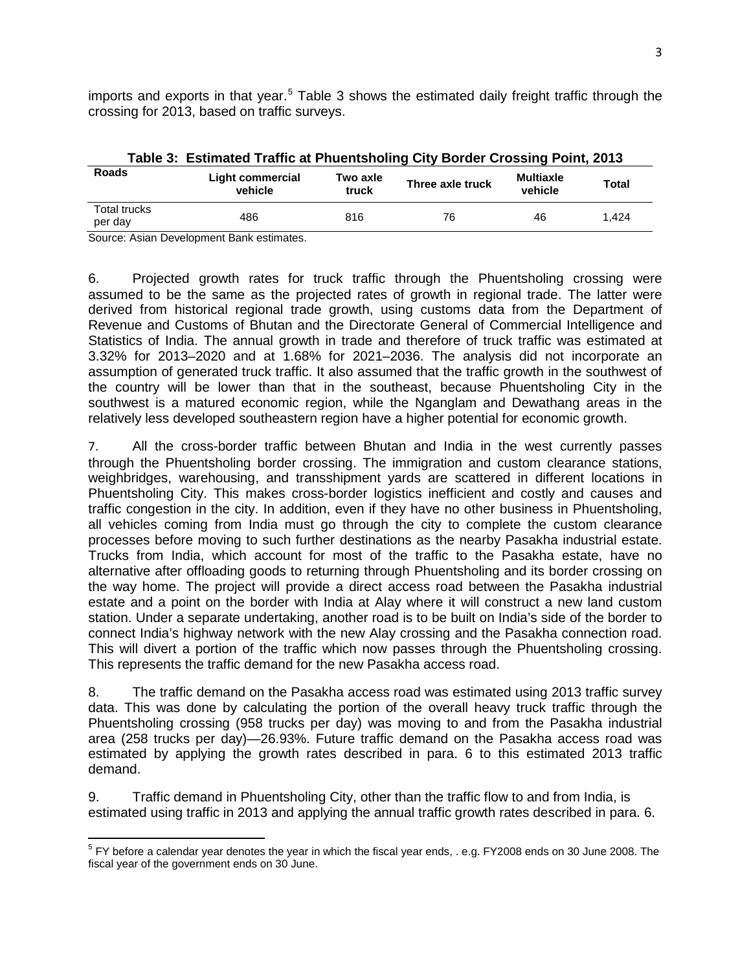imports and exports in that year.<sup>[5](#page-2-0)</sup> Table 3 shows the estimated daily freight traffic through the crossing for 2013, based on traffic surveys.

| <b>Roads</b>                   | Light commercial<br>vehicle | Two axle<br>truck | Three axle truck | <b>Multiaxle</b><br>vehicle | <b>Total</b> |
|--------------------------------|-----------------------------|-------------------|------------------|-----------------------------|--------------|
| <b>Total trucks</b><br>per dav | 486                         | 816               | 76               | 46                          | 1.424        |

| Table 3: Estimated Traffic at Phuentsholing City Border Crossing Point, 2013 |  |
|------------------------------------------------------------------------------|--|
|------------------------------------------------------------------------------|--|

Source: Asian Development Bank estimates.

6. Projected growth rates for truck traffic through the Phuentsholing crossing were assumed to be the same as the projected rates of growth in regional trade. The latter were derived from historical regional trade growth, using customs data from the Department of Revenue and Customs of Bhutan and the Directorate General of Commercial Intelligence and Statistics of India. The annual growth in trade and therefore of truck traffic was estimated at 3.32% for 2013–2020 and at 1.68% for 2021–2036. The analysis did not incorporate an assumption of generated truck traffic. It also assumed that the traffic growth in the southwest of the country will be lower than that in the southeast, because Phuentsholing City in the southwest is a matured economic region, while the Nganglam and Dewathang areas in the relatively less developed southeastern region have a higher potential for economic growth.

7. All the cross-border traffic between Bhutan and India in the west currently passes through the Phuentsholing border crossing. The immigration and custom clearance stations, weighbridges, warehousing, and transshipment yards are scattered in different locations in Phuentsholing City. This makes cross-border logistics inefficient and costly and causes and traffic congestion in the city. In addition, even if they have no other business in Phuentsholing, all vehicles coming from India must go through the city to complete the custom clearance processes before moving to such further destinations as the nearby Pasakha industrial estate. Trucks from India, which account for most of the traffic to the Pasakha estate, have no alternative after offloading goods to returning through Phuentsholing and its border crossing on the way home. The project will provide a direct access road between the Pasakha industrial estate and a point on the border with India at Alay where it will construct a new land custom station. Under a separate undertaking, another road is to be built on India's side of the border to connect India's highway network with the new Alay crossing and the Pasakha connection road. This will divert a portion of the traffic which now passes through the Phuentsholing crossing. This represents the traffic demand for the new Pasakha access road.

8. The traffic demand on the Pasakha access road was estimated using 2013 traffic survey data. This was done by calculating the portion of the overall heavy truck traffic through the Phuentsholing crossing (958 trucks per day) was moving to and from the Pasakha industrial area (258 trucks per day)—26.93%. Future traffic demand on the Pasakha access road was estimated by applying the growth rates described in para. 6 to this estimated 2013 traffic demand.

9. Traffic demand in Phuentsholing City, other than the traffic flow to and from India, is estimated using traffic in 2013 and applying the annual traffic growth rates described in para. 6.

<span id="page-2-0"></span><sup>&</sup>lt;sup>5</sup> FY before a calendar year denotes the year in which the fiscal year ends, . e.g. FY2008 ends on 30 June 2008. The fiscal year of the government ends on 30 June.  $\overline{\phantom{a}}$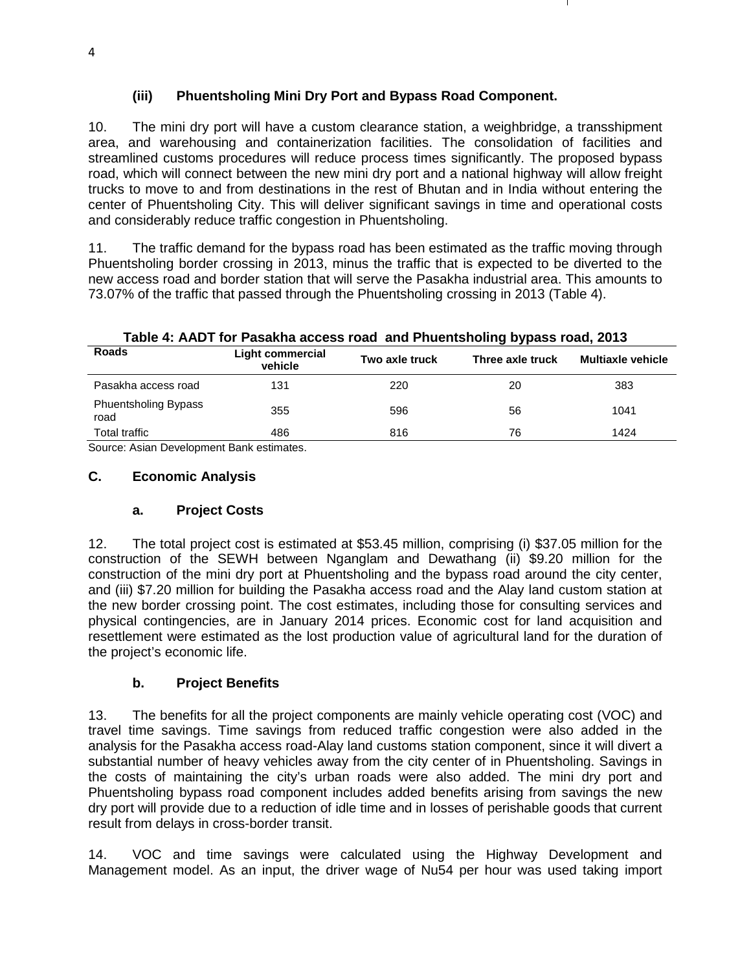# **(iii) Phuentsholing Mini Dry Port and Bypass Road Component.**

10. The mini dry port will have a custom clearance station, a weighbridge, a transshipment area, and warehousing and containerization facilities. The consolidation of facilities and streamlined customs procedures will reduce process times significantly. The proposed bypass road, which will connect between the new mini dry port and a national highway will allow freight trucks to move to and from destinations in the rest of Bhutan and in India without entering the center of Phuentsholing City. This will deliver significant savings in time and operational costs and considerably reduce traffic congestion in Phuentsholing.

11. The traffic demand for the bypass road has been estimated as the traffic moving through Phuentsholing border crossing in 2013, minus the traffic that is expected to be diverted to the new access road and border station that will serve the Pasakha industrial area. This amounts to 73.07% of the traffic that passed through the Phuentsholing crossing in 2013 (Table 4).

# **Table 4: AADT for Pasakha access road and Phuentsholing bypass road, 2013**

| Roads                               | <b>Light commercial</b><br>vehicle | Two axle truck | Three axle truck | <b>Multiaxle vehicle</b> |
|-------------------------------------|------------------------------------|----------------|------------------|--------------------------|
| Pasakha access road                 | 131                                | 220            | 20               | 383                      |
| <b>Phuentsholing Bypass</b><br>road | 355                                | 596            | 56               | 1041                     |
| Total traffic                       | 486                                | 816            | 76               | 1424                     |

Source: Asian Development Bank estimates.

#### **C. Economic Analysis**

#### **a. Project Costs**

12. The total project cost is estimated at \$53.45 million, comprising (i) \$37.05 million for the construction of the SEWH between Nganglam and Dewathang (ii) \$9.20 million for the construction of the mini dry port at Phuentsholing and the bypass road around the city center, and (iii) \$7.20 million for building the Pasakha access road and the Alay land custom station at the new border crossing point. The cost estimates, including those for consulting services and physical contingencies, are in January 2014 prices. Economic cost for land acquisition and resettlement were estimated as the lost production value of agricultural land for the duration of the project's economic life.

#### **b. Project Benefits**

13. The benefits for all the project components are mainly vehicle operating cost (VOC) and travel time savings. Time savings from reduced traffic congestion were also added in the analysis for the Pasakha access road-Alay land customs station component, since it will divert a substantial number of heavy vehicles away from the city center of in Phuentsholing. Savings in the costs of maintaining the city's urban roads were also added. The mini dry port and Phuentsholing bypass road component includes added benefits arising from savings the new dry port will provide due to a reduction of idle time and in losses of perishable goods that current result from delays in cross-border transit.

14. VOC and time savings were calculated using the Highway Development and Management model. As an input, the driver wage of Nu54 per hour was used taking import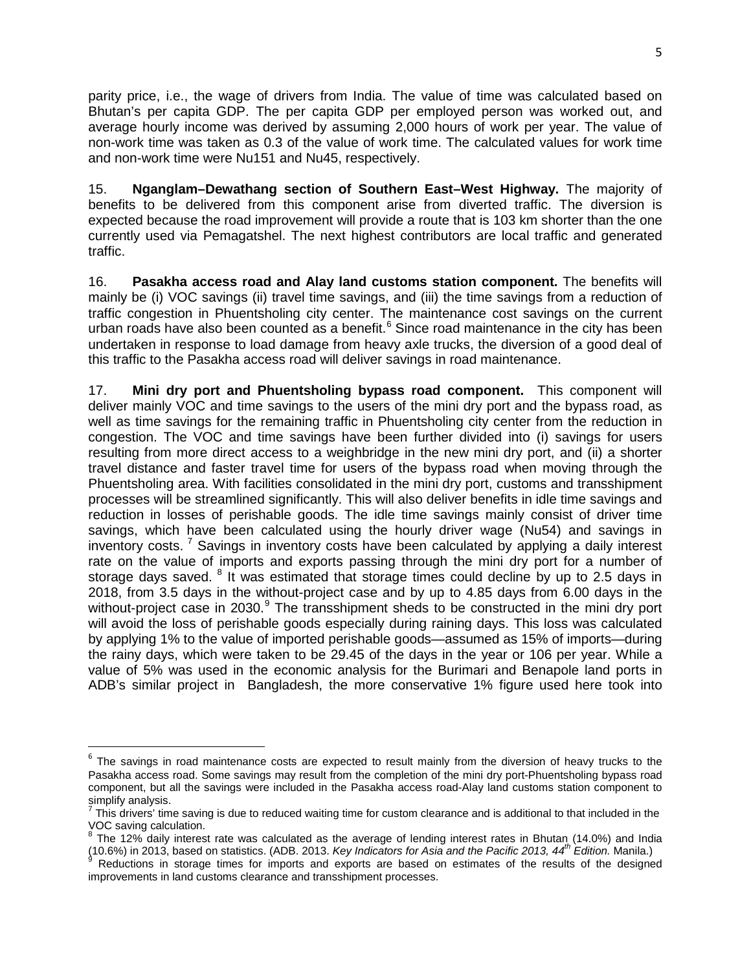parity price, i.e., the wage of drivers from India. The value of time was calculated based on Bhutan's per capita GDP. The per capita GDP per employed person was worked out, and average hourly income was derived by assuming 2,000 hours of work per year. The value of non-work time was taken as 0.3 of the value of work time. The calculated values for work time and non-work time were Nu151 and Nu45, respectively.

15. **Nganglam–Dewathang section of Southern East–West Highway.** The majority of benefits to be delivered from this component arise from diverted traffic. The diversion is expected because the road improvement will provide a route that is 103 km shorter than the one currently used via Pemagatshel. The next highest contributors are local traffic and generated traffic.

16. **Pasakha access road and Alay land customs station component.** The benefits will mainly be (i) VOC savings (ii) travel time savings, and (iii) the time savings from a reduction of traffic congestion in Phuentsholing city center. The maintenance cost savings on the current urban roads have also been counted as a benefit.<sup>[6](#page-4-0)</sup> Since road maintenance in the city has been undertaken in response to load damage from heavy axle trucks, the diversion of a good deal of this traffic to the Pasakha access road will deliver savings in road maintenance.

17. **Mini dry port and Phuentsholing bypass road component.** This component will deliver mainly VOC and time savings to the users of the mini dry port and the bypass road, as well as time savings for the remaining traffic in Phuentsholing city center from the reduction in congestion. The VOC and time savings have been further divided into (i) savings for users resulting from more direct access to a weighbridge in the new mini dry port, and (ii) a shorter travel distance and faster travel time for users of the bypass road when moving through the Phuentsholing area. With facilities consolidated in the mini dry port, customs and transshipment processes will be streamlined significantly. This will also deliver benefits in idle time savings and reduction in losses of perishable goods. The idle time savings mainly consist of driver time savings, which have been calculated using the hourly driver wage (Nu54) and savings in inventory costs.<sup>[7](#page-4-1)</sup> Savings in inventory costs have been calculated by applying a daily interest rate on the value of imports and exports passing through the mini dry port for a number of storage days saved. <sup>[8](#page-4-2)</sup> It was estimated that storage times could decline by up to 2.5 days in 2018, from 3.5 days in the without-project case and by up to 4.85 days from 6.00 days in the without-project case in 2030.<sup>[9](#page-4-3)</sup> The transshipment sheds to be constructed in the mini dry port will avoid the loss of perishable goods especially during raining days. This loss was calculated by applying 1% to the value of imported perishable goods—assumed as 15% of imports—during the rainy days, which were taken to be 29.45 of the days in the year or 106 per year. While a value of 5% was used in the economic analysis for the Burimari and Benapole land ports in ADB's similar project in Bangladesh, the more conservative 1% figure used here took into

 $\overline{\phantom{a}}$ 

<span id="page-4-0"></span> $6$  The savings in road maintenance costs are expected to result mainly from the diversion of heavy trucks to the Pasakha access road. Some savings may result from the completion of the mini dry port-Phuentsholing bypass road component, but all the savings were included in the Pasakha access road-Alay land customs station component to simplify analysis.

<span id="page-4-1"></span><sup>7</sup> This drivers' time saving is due to reduced waiting time for custom clearance and is additional to that included in the VOC saving calculation.

<span id="page-4-2"></span> $8$  The 12% daily interest rate was calculated as the average of lending interest rates in Bhutan (14.0%) and India and the participate of the participate of the participate of the pacific 2013, 44<sup>th</sup> Edition. Nanila.)<br><sup>9</sup> Reductions in storage times for imports and exports are based on estimates of the results of the designed

<span id="page-4-3"></span>improvements in land customs clearance and transshipment processes.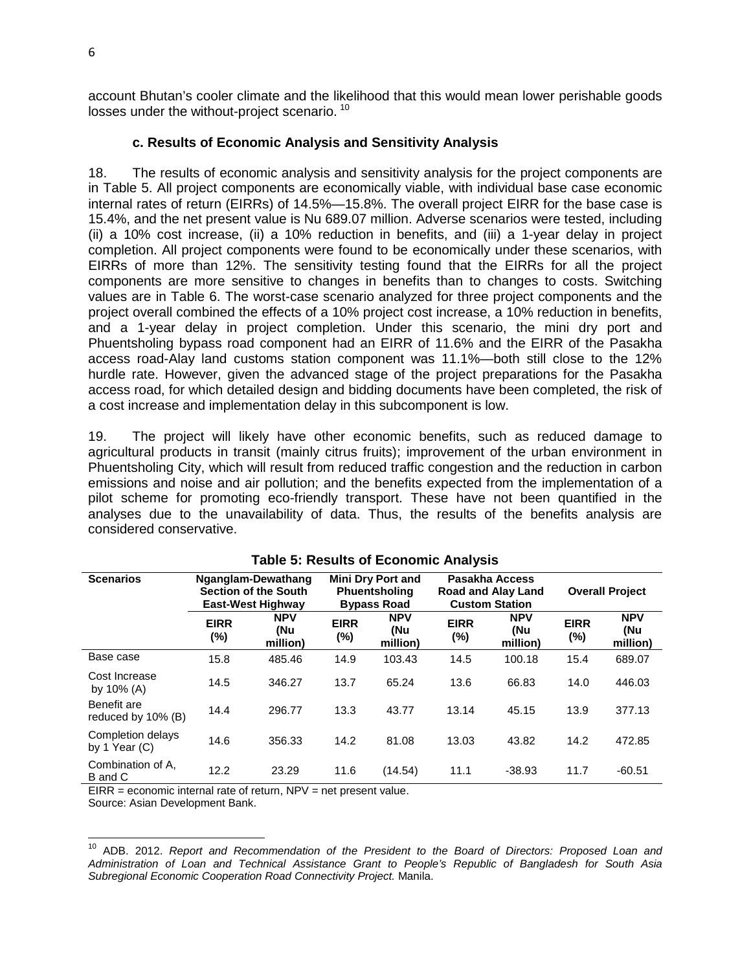account Bhutan's cooler climate and the likelihood that this would mean lower perishable goods losses under the without-project scenario.<sup>[10](#page-5-0)</sup>

#### **c. Results of Economic Analysis and Sensitivity Analysis**

18. The results of economic analysis and sensitivity analysis for the project components are in Table 5. All project components are economically viable, with individual base case economic internal rates of return (EIRRs) of 14.5%—15.8%. The overall project EIRR for the base case is 15.4%, and the net present value is Nu 689.07 million. Adverse scenarios were tested, including (ii) a 10% cost increase, (ii) a 10% reduction in benefits, and (iii) a 1-year delay in project completion. All project components were found to be economically under these scenarios, with EIRRs of more than 12%. The sensitivity testing found that the EIRRs for all the project components are more sensitive to changes in benefits than to changes to costs. Switching values are in Table 6. The worst-case scenario analyzed for three project components and the project overall combined the effects of a 10% project cost increase, a 10% reduction in benefits, and a 1-year delay in project completion. Under this scenario, the mini dry port and Phuentsholing bypass road component had an EIRR of 11.6% and the EIRR of the Pasakha access road-Alay land customs station component was 11.1%—both still close to the 12% hurdle rate. However, given the advanced stage of the project preparations for the Pasakha access road, for which detailed design and bidding documents have been completed, the risk of a cost increase and implementation delay in this subcomponent is low.

19. The project will likely have other economic benefits, such as reduced damage to agricultural products in transit (mainly citrus fruits); improvement of the urban environment in Phuentsholing City, which will result from reduced traffic congestion and the reduction in carbon emissions and noise and air pollution; and the benefits expected from the implementation of a pilot scheme for promoting eco-friendly transport. These have not been quantified in the analyses due to the unavailability of data. Thus, the results of the benefits analysis are considered conservative.

| <b>Scenarios</b>                     |                    | Nganglam-Dewathang<br><b>Section of the South</b><br><b>East-West Highway</b> |                    | <b>Mini Dry Port and</b><br>Phuentsholing<br><b>Bypass Road</b> |                       | Pasakha Access<br><b>Road and Alay Land</b><br><b>Custom Station</b> |                    | <b>Overall Project</b>        |
|--------------------------------------|--------------------|-------------------------------------------------------------------------------|--------------------|-----------------------------------------------------------------|-----------------------|----------------------------------------------------------------------|--------------------|-------------------------------|
|                                      | <b>EIRR</b><br>(%) | <b>NPV</b><br>(Nu<br>million)                                                 | <b>EIRR</b><br>(%) | <b>NPV</b><br>(Nu<br>million)                                   | <b>EIRR</b><br>$(\%)$ | <b>NPV</b><br>(Nu<br>million)                                        | <b>EIRR</b><br>(%) | <b>NPV</b><br>(Nu<br>million) |
| Base case                            | 15.8               | 485.46                                                                        | 14.9               | 103.43                                                          | 14.5                  | 100.18                                                               | 15.4               | 689.07                        |
| Cost Increase<br>by $10\%$ (A)       | 14.5               | 346.27                                                                        | 13.7               | 65.24                                                           | 13.6                  | 66.83                                                                | 14.0               | 446.03                        |
| Benefit are<br>reduced by 10% (B)    | 14.4               | 296.77                                                                        | 13.3               | 43.77                                                           | 13.14                 | 45.15                                                                | 13.9               | 377.13                        |
| Completion delays<br>by 1 Year $(C)$ | 14.6               | 356.33                                                                        | 14.2               | 81.08                                                           | 13.03                 | 43.82                                                                | 14.2               | 472.85                        |
| Combination of A.<br>B and C         | 12.2               | 23.29                                                                         | 11.6               | (14.54)                                                         | 11.1                  | $-38.93$                                                             | 11.7               | $-60.51$                      |

#### **Table 5: Results of Economic Analysis**

EIRR = economic internal rate of return, NPV = net present value.

Source: Asian Development Bank.

<span id="page-5-0"></span><sup>10</sup> ADB. 2012. *Report and Recommendation of the President to the Board of Directors: Proposed Loan and Administration of Loan and Technical Assistance Grant to People's Republic of Bangladesh for South Asia Subregional Economic Cooperation Road Connectivity Project.* Manila.  $\overline{\phantom{a}}$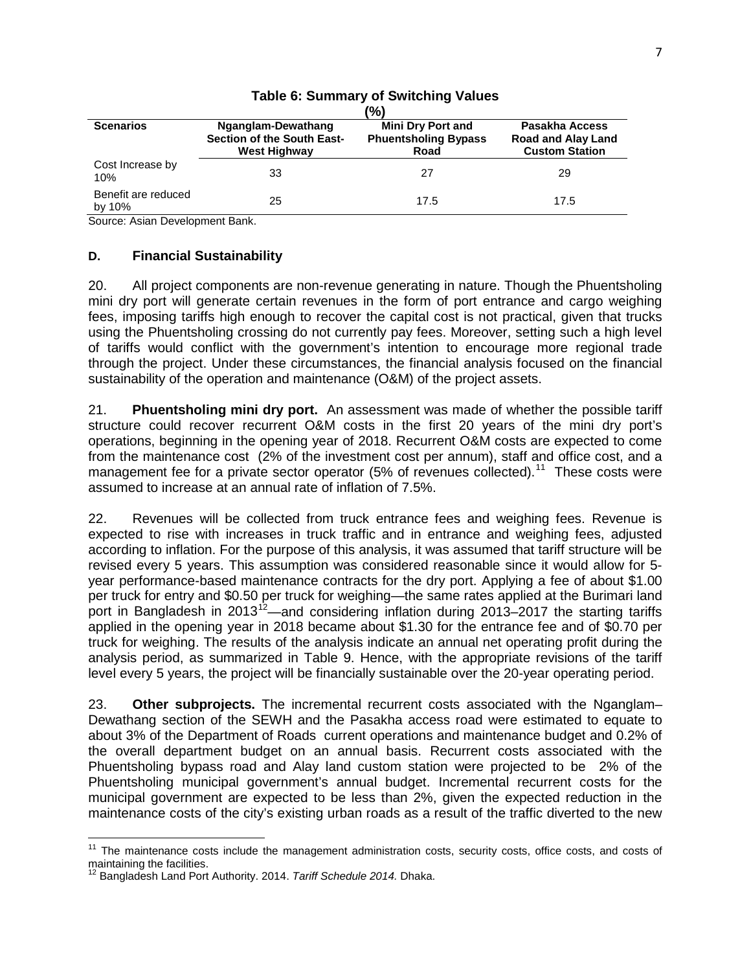|                               |                                                                         | (%)                                                             |                                                                      |
|-------------------------------|-------------------------------------------------------------------------|-----------------------------------------------------------------|----------------------------------------------------------------------|
| <b>Scenarios</b>              | Nganglam-Dewathang<br>Section of the South East-<br><b>West Highway</b> | <b>Mini Dry Port and</b><br><b>Phuentsholing Bypass</b><br>Road | Pasakha Access<br><b>Road and Alay Land</b><br><b>Custom Station</b> |
| Cost Increase by<br>10%       | 33                                                                      | 27                                                              | 29                                                                   |
| Benefit are reduced<br>by 10% | 25                                                                      | 17.5                                                            | 17.5                                                                 |

# **Table 6: Summary of Switching Values**

Source: Asian Development Bank.

#### **D. Financial Sustainability**

20. All project components are non-revenue generating in nature. Though the Phuentsholing mini dry port will generate certain revenues in the form of port entrance and cargo weighing fees, imposing tariffs high enough to recover the capital cost is not practical, given that trucks using the Phuentsholing crossing do not currently pay fees. Moreover, setting such a high level of tariffs would conflict with the government's intention to encourage more regional trade through the project. Under these circumstances, the financial analysis focused on the financial sustainability of the operation and maintenance (O&M) of the project assets.

21. **Phuentsholing mini dry port.** An assessment was made of whether the possible tariff structure could recover recurrent O&M costs in the first 20 years of the mini dry port's operations, beginning in the opening year of 2018. Recurrent O&M costs are expected to come from the maintenance cost (2% of the investment cost per annum), staff and office cost, and a management fee for a private sector operator  $(5\%$  of revenues collected).<sup>11</sup> These costs were assumed to increase at an annual rate of inflation of 7.5%.

22. Revenues will be collected from truck entrance fees and weighing fees. Revenue is expected to rise with increases in truck traffic and in entrance and weighing fees, adjusted according to inflation. For the purpose of this analysis, it was assumed that tariff structure will be revised every 5 years. This assumption was considered reasonable since it would allow for 5 year performance-based maintenance contracts for the dry port. Applying a fee of about \$1.00 per truck for entry and \$0.50 per truck for weighing—the same rates applied at the Burimari land port in Bangladesh in 2013<sup>[12](#page-6-1)</sup>—and considering inflation during 2013–2017 the starting tariffs applied in the opening year in 2018 became about \$1.30 for the entrance fee and of \$0.70 per truck for weighing. The results of the analysis indicate an annual net operating profit during the analysis period, as summarized in Table 9. Hence, with the appropriate revisions of the tariff level every 5 years, the project will be financially sustainable over the 20-year operating period.

23. **Other subprojects.** The incremental recurrent costs associated with the Nganglam– Dewathang section of the SEWH and the Pasakha access road were estimated to equate to about 3% of the Department of Roads current operations and maintenance budget and 0.2% of the overall department budget on an annual basis. Recurrent costs associated with the Phuentsholing bypass road and Alay land custom station were projected to be 2% of the Phuentsholing municipal government's annual budget. Incremental recurrent costs for the municipal government are expected to be less than 2%, given the expected reduction in the maintenance costs of the city's existing urban roads as a result of the traffic diverted to the new

 $\overline{\phantom{a}}$ 

<span id="page-6-0"></span><sup>&</sup>lt;sup>11</sup> The maintenance costs include the management administration costs, security costs, office costs, and costs of maintaining the facilities.<br><sup>12</sup> Bangladesh Land Port Authority. 2014. *Tariff Schedule 2014.* Dhaka.

<span id="page-6-1"></span>